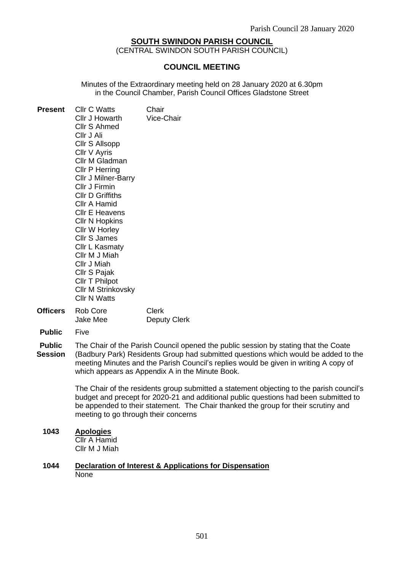## **SOUTH SWINDON PARISH COUNCIL**

(CENTRAL SWINDON SOUTH PARISH COUNCIL)

#### **COUNCIL MEETING**

Minutes of the Extraordinary meeting held on 28 January 2020 at 6.30pm in the Council Chamber, Parish Council Offices Gladstone Street

| <b>Present</b> | <b>Cllr C Watts</b><br>Cllr J Howarth<br>Cllr S Ahmed<br>CIIr J Ali<br>Cllr S Allsopp<br>Cllr V Ayris<br>Cllr M Gladman<br>Cllr P Herring<br><b>Cllr J Milner-Barry</b><br>Cllr J Firmin<br><b>CIIr D Griffiths</b><br>Cllr A Hamid<br><b>Cllr E Heavens</b><br>Cllr N Hopkins<br>Cllr W Horley<br><b>Cllr S James</b><br>Cllr L Kasmaty<br>Cllr M J Miah<br>Cllr J Miah<br>Cllr S Pajak<br>Cllr T Philpot<br><b>Cllr M Strinkovsky</b><br><b>Cllr N Watts</b> | Chair<br>Vice-Chair |
|----------------|----------------------------------------------------------------------------------------------------------------------------------------------------------------------------------------------------------------------------------------------------------------------------------------------------------------------------------------------------------------------------------------------------------------------------------------------------------------|---------------------|
|                | <b>Officers</b> Rob Core                                                                                                                                                                                                                                                                                                                                                                                                                                       | Clerk               |
|                |                                                                                                                                                                                                                                                                                                                                                                                                                                                                |                     |

- Jake Mee Deputy Clerk
- **Public** Five
- **Public Session** The Chair of the Parish Council opened the public session by stating that the Coate (Badbury Park) Residents Group had submitted questions which would be added to the meeting Minutes and the Parish Council's replies would be given in writing A copy of which appears as Appendix A in the Minute Book.

The Chair of the residents group submitted a statement objecting to the parish council's budget and precept for 2020-21 and additional public questions had been submitted to be appended to their statement. The Chair thanked the group for their scrutiny and meeting to go through their concerns

## **1043 Apologies**

Cllr A Hamid Cllr M J Miah

#### **1044 Declaration of Interest & Applications for Dispensation** None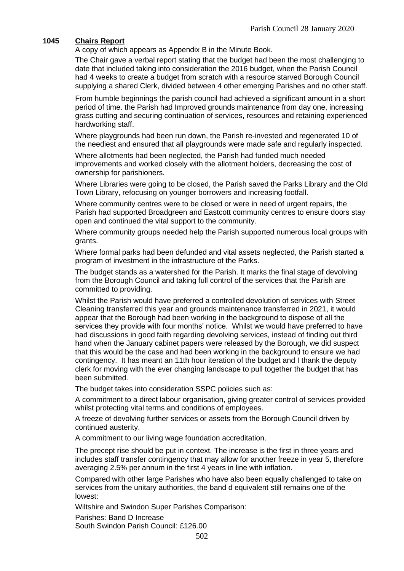# **1045 Chairs Report**

A copy of which appears as Appendix B in the Minute Book.

The Chair gave a verbal report stating that the budget had been the most challenging to date that included taking into consideration the 2016 budget, when the Parish Council had 4 weeks to create a budget from scratch with a resource starved Borough Council supplying a shared Clerk, divided between 4 other emerging Parishes and no other staff.

From humble beginnings the parish council had achieved a significant amount in a short period of time. the Parish had Improved grounds maintenance from day one, increasing grass cutting and securing continuation of services, resources and retaining experienced hardworking staff.

Where playgrounds had been run down, the Parish re-invested and regenerated 10 of the neediest and ensured that all playgrounds were made safe and regularly inspected.

Where allotments had been neglected, the Parish had funded much needed improvements and worked closely with the allotment holders, decreasing the cost of ownership for parishioners.

Where Libraries were going to be closed, the Parish saved the Parks Library and the Old Town Library, refocusing on younger borrowers and increasing footfall.

Where community centres were to be closed or were in need of urgent repairs, the Parish had supported Broadgreen and Eastcott community centres to ensure doors stay open and continued the vital support to the community.

Where community groups needed help the Parish supported numerous local groups with grants.

Where formal parks had been defunded and vital assets neglected, the Parish started a program of investment in the infrastructure of the Parks.

The budget stands as a watershed for the Parish. It marks the final stage of devolving from the Borough Council and taking full control of the services that the Parish are committed to providing.

Whilst the Parish would have preferred a controlled devolution of services with Street Cleaning transferred this year and grounds maintenance transferred in 2021, it would appear that the Borough had been working in the background to dispose of all the services they provide with four months' notice. Whilst we would have preferred to have had discussions in good faith regarding devolving services, instead of finding out third hand when the January cabinet papers were released by the Borough, we did suspect that this would be the case and had been working in the background to ensure we had contingency. It has meant an 11th hour iteration of the budget and I thank the deputy clerk for moving with the ever changing landscape to pull together the budget that has been submitted.

The budget takes into consideration SSPC policies such as:

A commitment to a direct labour organisation, giving greater control of services provided whilst protecting vital terms and conditions of employees.

A freeze of devolving further services or assets from the Borough Council driven by continued austerity.

A commitment to our living wage foundation accreditation.

The precept rise should be put in context. The increase is the first in three years and includes staff transfer contingency that may allow for another freeze in year 5, therefore averaging 2.5% per annum in the first 4 years in line with inflation.

Compared with other large Parishes who have also been equally challenged to take on services from the unitary authorities, the band d equivalent still remains one of the lowest:

Wiltshire and Swindon Super Parishes Comparison:

Parishes: Band D Increase

South Swindon Parish Council: £126.00